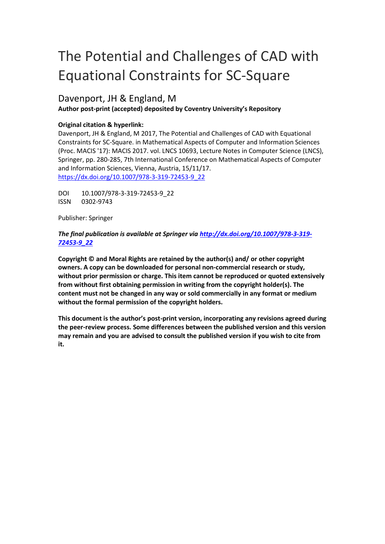# The Potential and Challenges of CAD with Equational Constraints for SC-Square

# Davenport, JH & England, M

## **Author post-print (accepted) deposited by Coventry University's Repository**

## **Original citation & hyperlink:**

Davenport, JH & England, M 2017, The Potential and Challenges of CAD with Equational Constraints for SC-Square. in Mathematical Aspects of Computer and Information Sciences (Proc. MACIS '17): MACIS 2017. vol. LNCS 10693, Lecture Notes in Computer Science (LNCS), Springer, pp. 280-285, 7th International Conference on Mathematical Aspects of Computer and Information Sciences, Vienna, Austria, 15/11/17. https://dx.doi.org/10.1007/978-3-319-72453-9\_22

DOI 10.1007/978-3-319-72453-9\_22 ISSN 0302-9743

Publisher: Springer

## *The final publication is available at Springer via http://dx.doi.org/10.1007/978-3-319- 72453-9\_22*

**Copyright © and Moral Rights are retained by the author(s) and/ or other copyright owners. A copy can be downloaded for personal non-commercial research or study, without prior permission or charge. This item cannot be reproduced or quoted extensively from without first obtaining permission in writing from the copyright holder(s). The content must not be changed in any way or sold commercially in any format or medium without the formal permission of the copyright holders.** 

**This document is the author's post-print version, incorporating any revisions agreed during the peer-review process. Some differences between the published version and this version may remain and you are advised to consult the published version if you wish to cite from it.**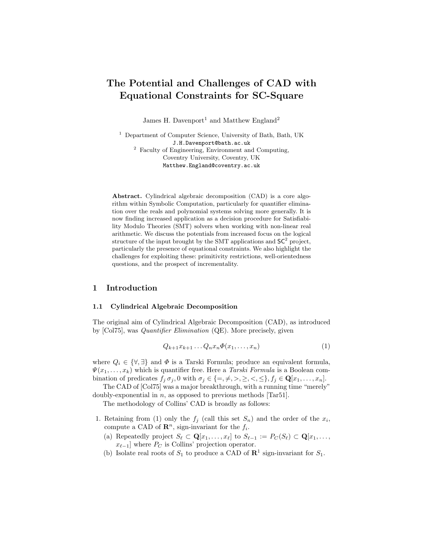## The Potential and Challenges of CAD with Equational Constraints for SC-Square

James H. Davenport<sup>1</sup> and Matthew England<sup>2</sup>

<sup>1</sup> Department of Computer Science, University of Bath, Bath, UK J.H.Davenport@bath.ac.uk <sup>2</sup> Faculty of Engineering, Environment and Computing, Coventry University, Coventry, UK Matthew.England@coventry.ac.uk

Abstract. Cylindrical algebraic decomposition (CAD) is a core algorithm within Symbolic Computation, particularly for quantifier elimination over the reals and polynomial systems solving more generally. It is now finding increased application as a decision procedure for Satisfiability Modulo Theories (SMT) solvers when working with non-linear real arithmetic. We discuss the potentials from increased focus on the logical structure of the input brought by the SMT applications and  $SC^2$  project, particularly the presence of equational constraints. We also highlight the challenges for exploiting these: primitivity restrictions, well-orientedness questions, and the prospect of incrementality.

#### 1 Introduction

#### 1.1 Cylindrical Algebraic Decomposition

The original aim of Cylindrical Algebraic Decomposition (CAD), as introduced by [Col75], was Quantifier Elimination (QE). More precisely, given

$$
Q_{k+1}x_{k+1}\ldots Q_nx_n\Phi(x_1,\ldots,x_n) \tag{1}
$$

where  $Q_i \in \{ \forall, \exists \}$  and  $\Phi$  is a Tarski Formula; produce an equivalent formula,  $\Psi(x_1, \ldots, x_k)$  which is quantifier free. Here a *Tarski Formula* is a Boolean combination of predicates  $f_j \sigma_j$ , 0 with  $\sigma_j \in \{=, \neq, >, \geq, <, \leq\}, f_j \in \mathbf{Q}[x_1, \ldots, x_n].$ 

The CAD of [Col75] was a major breakthrough, with a running time "merely" doubly-exponential in n, as opposed to previous methods [Tar51].

The methodology of Collins' CAD is broadly as follows:

- 1. Retaining from (1) only the  $f_j$  (call this set  $S_n$ ) and the order of the  $x_i$ , compute a CAD of  $\mathbb{R}^n$ , sign-invariant for the  $f_i$ .
	- (a) Repeatedly project  $S_\ell \subset \mathbf{Q}[x_1, \ldots, x_\ell]$  to  $S_{\ell-1} := P_C(S_\ell) \subset \mathbf{Q}[x_1, \ldots, x_\ell]$  $x_{\ell-1}$ ] where  $P_C$  is Collins' projection operator.
	- (b) Isolate real roots of  $S_1$  to produce a CAD of  $\mathbb{R}^1$  sign-invariant for  $S_1$ .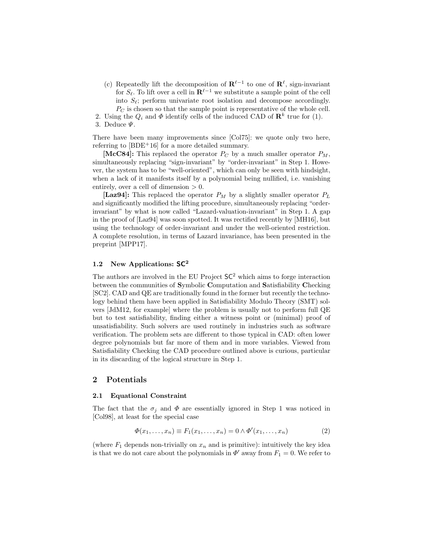- (c) Repeatedly lift the decomposition of  $\mathbf{R}^{\ell-1}$  to one of  $\mathbf{R}^{\ell}$ , sign-invariant for  $S_\ell$ . To lift over a cell in  $\mathbf{R}^{\ell-1}$  we substitute a sample point of the cell into  $S_{\ell}$ ; perform univariate root isolation and decompose accordingly.  $P_C$  is chosen so that the sample point is representative of the whole cell.
- 2. Using the  $Q_i$  and  $\Phi$  identify cells of the induced CAD of  $\mathbb{R}^k$  true for (1).

There have been many improvements since [Col75]: we quote only two here, referring to  $[BDE+16]$  for a more detailed summary.

[McC84]: This replaced the operator  $P_C$  by a much smaller operator  $P_M$ , simultaneously replacing "sign-invariant" by "order-invariant" in Step 1. However, the system has to be "well-oriented", which can only be seen with hindsight, when a lack of it manifests itself by a polynomial being nullified, i.e. vanishing entirely, over a cell of dimension  $> 0$ .

[Laz94]: This replaced the operator  $P_M$  by a slightly smaller operator  $P_L$ and significantly modified the lifting procedure, simultaneously replacing "orderinvariant" by what is now called "Lazard-valuation-invariant" in Step 1. A gap in the proof of [Laz94] was soon spotted. It was rectified recently by [MH16], but using the technology of order-invariant and under the well-oriented restriction. A complete resolution, in terms of Lazard invariance, has been presented in the preprint [MPP17].

#### 1.2 New Applications:  $SC^2$

The authors are involved in the EU Project  $SC^2$  which aims to forge interaction between the communities of Symbolic Computation and Satisfiability Checking [SC2]. CAD and QE are traditionally found in the former but recently the technology behind them have been applied in Satisfiability Modulo Theory (SMT) solvers [JdM12, for example] where the problem is usually not to perform full QE but to test satisfiability, finding either a witness point or (minimal) proof of unsatisfiability. Such solvers are used routinely in industries such as software verification. The problem sets are different to those typical in CAD: often lower degree polynomials but far more of them and in more variables. Viewed from Satisfiability Checking the CAD procedure outlined above is curious, particular in its discarding of the logical structure in Step 1.

#### 2 Potentials

#### 2.1 Equational Constraint

The fact that the  $\sigma_i$  and  $\Phi$  are essentially ignored in Step 1 was noticed in [Col98], at least for the special case

$$
\Phi(x_1,\ldots,x_n) \equiv F_1(x_1,\ldots,x_n) = 0 \wedge \Phi'(x_1,\ldots,x_n) \tag{2}
$$

(where  $F_1$  depends non-trivially on  $x_n$  and is primitive): intuitively the key idea is that we do not care about the polynomials in  $\Phi'$  away from  $F_1 = 0$ . We refer to

<sup>3.</sup> Deduce  $\Psi$ .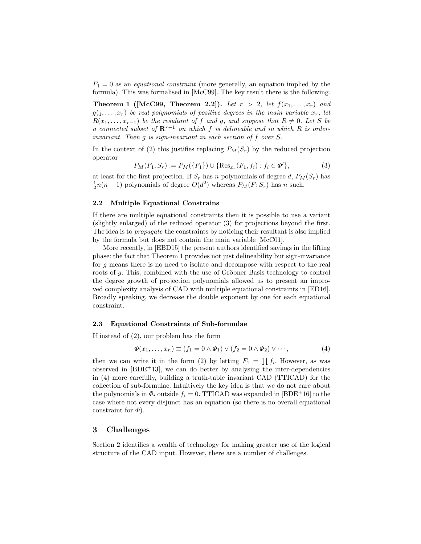$F_1 = 0$  as an *equational constraint* (more generally, an equation implied by the formula). This was formalised in [McC99]. The key result there is the following.

**Theorem 1** (McC99, Theorem 2.2)). Let  $r > 2$ , let  $f(x_1, \ldots, x_r)$  and  $g(1, \ldots, x_r)$  be real polynomials of positive degrees in the main variable  $x_r$ , let  $R(x_1, \ldots, x_{r-1})$  be the resultant of f and g, and suppose that  $R \neq 0$ . Let S be a connected subset of  $\mathbb{R}^{r-1}$  on which f is delineable and in which R is orderinvariant. Then g is sign-invariant in each section of f over S.

In the context of (2) this justifies replacing  $P_M(S_r)$  by the reduced projection operator

$$
P_M(F_1; S_r) := P_M(\{F_1\}) \cup \{\text{Res}_{x_r}(F_1, f_i) : f_i \in \Phi'\},\tag{3}
$$

at least for the first projection. If  $S_r$  has n polynomials of degree d,  $P_M(S_r)$  has  $\frac{1}{2}n(n+1)$  polynomials of degree  $O(d^2)$  whereas  $P_M(F; S_r)$  has n such.

#### 2.2 Multiple Equational Constrains

If there are multiple equational constraints then it is possible to use a variant (slightly enlarged) of the reduced operator (3) for projections beyond the first. The idea is to propagate the constraints by noticing their resultant is also implied by the formula but does not contain the main variable [McC01].

More recently, in [EBD15] the present authors identified savings in the lifting phase: the fact that Theorem 1 provides not just delineability but sign-invariance for g means there is no need to isolate and decompose with respect to the real roots of  $g$ . This, combined with the use of Gröbner Basis technology to control the degree growth of projection polynomials allowed us to present an improved complexity analysis of CAD with multiple equational constraints in [ED16]. Broadly speaking, we decrease the double exponent by one for each equational constraint.

#### 2.3 Equational Constraints of Sub-formulae

If instead of (2), our problem has the form

$$
\Phi(x_1, \dots, x_n) \equiv (f_1 = 0 \land \Phi_1) \lor (f_2 = 0 \land \Phi_2) \lor \dots,
$$
\n(4)

then we can write it in the form (2) by letting  $F_1 = \prod f_i$ . However, as was observed in  $[BDE+13]$ , we can do better by analysing the inter-dependencies in (4) more carefully, building a truth-table invariant CAD (TTICAD) for the collection of sub-formulae. Intuitively the key idea is that we do not care about the polynomials in  $\Phi_i$  outside  $f_i = 0$ . TTICAD was expanded in [BDE+16] to the case where not every disjunct has an equation (so there is no overall equational constraint for  $\Phi$ ).

#### 3 Challenges

Section 2 identifies a wealth of technology for making greater use of the logical structure of the CAD input. However, there are a number of challenges.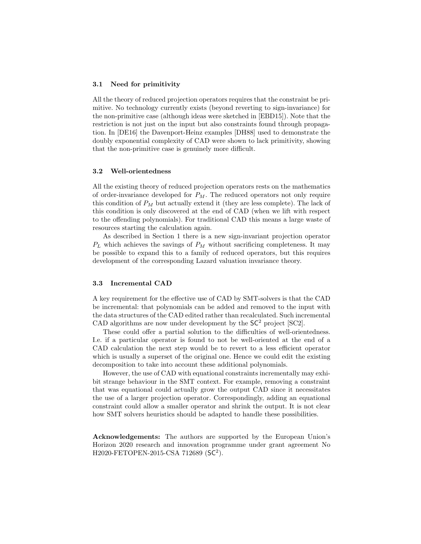#### 3.1 Need for primitivity

All the theory of reduced projection operators requires that the constraint be primitive. No technology currently exists (beyond reverting to sign-invariance) for the non-primitive case (although ideas were sketched in [EBD15]). Note that the restriction is not just on the input but also constraints found through propagation. In [DE16] the Davenport-Heinz examples [DH88] used to demonstrate the doubly exponential complexity of CAD were shown to lack primitivity, showing that the non-primitive case is genuinely more difficult.

#### 3.2 Well-orientedness

All the existing theory of reduced projection operators rests on the mathematics of order-invariance developed for  $P_M$ . The reduced operators not only require this condition of  $P_M$  but actually extend it (they are less complete). The lack of this condition is only discovered at the end of CAD (when we lift with respect to the offending polynomials). For traditional CAD this means a large waste of resources starting the calculation again.

As described in Section 1 there is a new sign-invariant projection operator  $P_L$  which achieves the savings of  $P_M$  without sacrificing completeness. It may be possible to expand this to a family of reduced operators, but this requires development of the corresponding Lazard valuation invariance theory.

#### 3.3 Incremental CAD

A key requirement for the effective use of CAD by SMT-solvers is that the CAD be incremental: that polynomials can be added and removed to the input with the data structures of the CAD edited rather than recalculated. Such incremental CAD algorithms are now under development by the  $SC^2$  project [SC2].

These could offer a partial solution to the difficulties of well-orientedness. I.e. if a particular operator is found to not be well-oriented at the end of a CAD calculation the next step would be to revert to a less efficient operator which is usually a superset of the original one. Hence we could edit the existing decomposition to take into account these additional polynomials.

However, the use of CAD with equational constraints incrementally may exhibit strange behaviour in the SMT context. For example, removing a constraint that was equational could actually grow the output CAD since it necessitates the use of a larger projection operator. Correspondingly, adding an equational constraint could allow a smaller operator and shrink the output. It is not clear how SMT solvers heuristics should be adapted to handle these possibilities.

Acknowledgements: The authors are supported by the European Union's Horizon 2020 research and innovation programme under grant agreement No H2020-FETOPEN-2015-CSA 712689 (SC<sup>2</sup>).